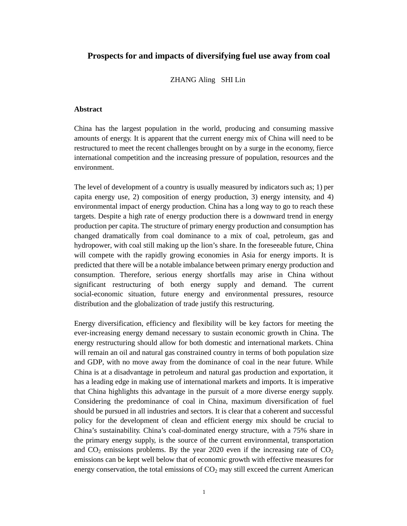# **Prospects for and impacts of diversifying fuel use away from coal**

### ZHANG Aling SHI Lin

# **Abstract**

China has the largest population in the world, producing and consuming massive amounts of energy. It is apparent that the current energy mix of China will need to be restructured to meet the recent challenges brought on by a surge in the economy, fierce international competition and the increasing pressure of population, resources and the environment.

The level of development of a country is usually measured by indicators such as; 1) per capita energy use, 2) composition of energy production, 3) energy intensity, and 4) environmental impact of energy production. China has a long way to go to reach these targets. Despite a high rate of energy production there is a downward trend in energy production per capita. The structure of primary energy production and consumption has changed dramatically from coal dominance to a mix of coal, petroleum, gas and hydropower, with coal still making up the lion's share. In the foreseeable future, China will compete with the rapidly growing economies in Asia for energy imports. It is predicted that there will be a notable imbalance between primary energy production and consumption. Therefore, serious energy shortfalls may arise in China without significant restructuring of both energy supply and demand. The current social-economic situation, future energy and environmental pressures, resource distribution and the globalization of trade justify this restructuring.

Energy diversification, efficiency and flexibility will be key factors for meeting the ever-increasing energy demand necessary to sustain economic growth in China. The energy restructuring should allow for both domestic and international markets. China will remain an oil and natural gas constrained country in terms of both population size and GDP, with no move away from the dominance of coal in the near future. While China is at a disadvantage in petroleum and natural gas production and exportation, it has a leading edge in making use of international markets and imports. It is imperative that China highlights this advantage in the pursuit of a more diverse energy supply. Considering the predominance of coal in China, maximum diversification of fuel should be pursued in all industries and sectors. It is clear that a coherent and successful policy for the development of clean and efficient energy mix should be crucial to China's sustainability. China's coal-dominated energy structure, with a 75% share in the primary energy supply, is the source of the current environmental, transportation and  $CO<sub>2</sub>$  emissions problems. By the year 2020 even if the increasing rate of  $CO<sub>2</sub>$ emissions can be kept well below that of economic growth with effective measures for energy conservation, the total emissions of  $CO<sub>2</sub>$  may still exceed the current American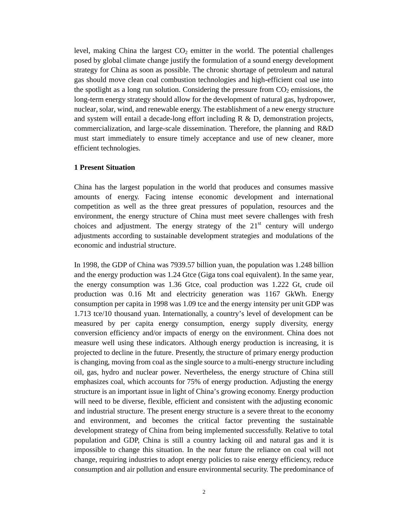level, making China the largest  $CO<sub>2</sub>$  emitter in the world. The potential challenges posed by global climate change justify the formulation of a sound energy development strategy for China as soon as possible. The chronic shortage of petroleum and natural gas should move clean coal combustion technologies and high-efficient coal use into the spotlight as a long run solution. Considering the pressure from  $CO<sub>2</sub>$  emissions, the long-term energy strategy should allow for the development of natural gas, hydropower, nuclear, solar, wind, and renewable energy. The establishment of a new energy structure and system will entail a decade-long effort including  $R \& D$ , demonstration projects, commercialization, and large-scale dissemination. Therefore, the planning and R&D must start immediately to ensure timely acceptance and use of new cleaner, more efficient technologies.

### **1 Present Situation**

China has the largest population in the world that produces and consumes massive amounts of energy. Facing intense economic development and international competition as well as the three great pressures of population, resources and the environment, the energy structure of China must meet severe challenges with fresh choices and adjustment. The energy strategy of the  $21<sup>st</sup>$  century will undergo adjustments according to sustainable development strategies and modulations of the economic and industrial structure.

In 1998, the GDP of China was 7939.57 billion yuan, the population was 1.248 billion and the energy production was 1.24 Gtce (Giga tons coal equivalent). In the same year, the energy consumption was 1.36 Gtce, coal production was 1.222 Gt, crude oil production was 0.16 Mt and electricity generation was 1167 GkWh. Energy consumption per capita in 1998 was 1.09 tce and the energy intensity per unit GDP was 1.713 tce/10 thousand yuan. Internationally, a country's level of development can be measured by per capita energy consumption, energy supply diversity, energy conversion efficiency and/or impacts of energy on the environment. China does not measure well using these indicators. Although energy production is increasing, it is projected to decline in the future. Presently, the structure of primary energy production is changing, moving from coal as the single source to a multi-energy structure including oil, gas, hydro and nuclear power. Nevertheless, the energy structure of China still emphasizes coal, which accounts for 75% of energy production. Adjusting the energy structure is an important issue in light of China's growing economy. Energy production will need to be diverse, flexible, efficient and consistent with the adjusting economic and industrial structure. The present energy structure is a severe threat to the economy and environment, and becomes the critical factor preventing the sustainable development strategy of China from being implemented successfully. Relative to total population and GDP, China is still a country lacking oil and natural gas and it is impossible to change this situation. In the near future the reliance on coal will not change, requiring industries to adopt energy policies to raise energy efficiency, reduce consumption and air pollution and ensure environmental security. The predominance of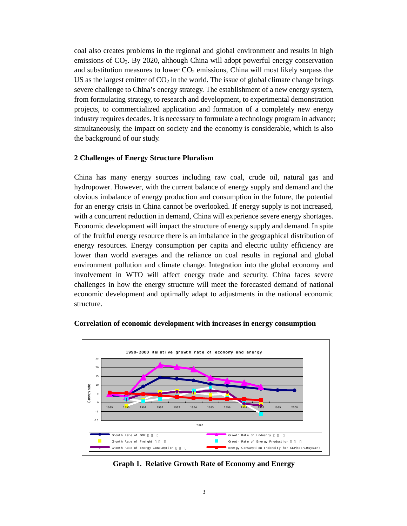coal also creates problems in the regional and global environment and results in high emissions of CO2. By 2020, although China will adopt powerful energy conservation and substitution measures to lower  $CO<sub>2</sub>$  emissions, China will most likely surpass the US as the largest emitter of  $CO<sub>2</sub>$  in the world. The issue of global climate change brings severe challenge to China's energy strategy. The establishment of a new energy system, from formulating strategy, to research and development, to experimental demonstration projects, to commercialized application and formation of a completely new energy industry requires decades. It is necessary to formulate a technology program in advance; simultaneously, the impact on society and the economy is considerable, which is also the background of our study.

### **2 Challenges of Energy Structure Pluralism**

China has many energy sources including raw coal, crude oil, natural gas and hydropower. However, with the current balance of energy supply and demand and the obvious imbalance of energy production and consumption in the future, the potential for an energy crisis in China cannot be overlooked. If energy supply is not increased, with a concurrent reduction in demand, China will experience severe energy shortages. Economic development will impact the structure of energy supply and demand. In spite of the fruitful energy resource there is an imbalance in the geographical distribution of energy resources. Energy consumption per capita and electric utility efficiency are lower than world averages and the reliance on coal results in regional and global environment pollution and climate change. Integration into the global economy and involvement in WTO will affect energy trade and security. China faces severe challenges in how the energy structure will meet the forecasted demand of national economic development and optimally adapt to adjustments in the national economic structure.



#### **Correlation of economic development with increases in energy consumption**

**Graph 1. Relative Growth Rate of Economy and Energy**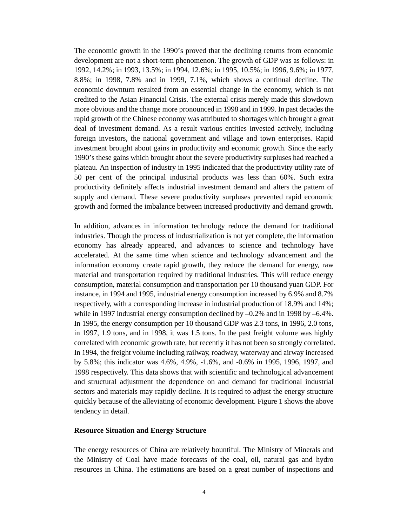The economic growth in the 1990's proved that the declining returns from economic development are not a short-term phenomenon. The growth of GDP was as follows: in 1992, 14.2%; in 1993, 13.5%; in 1994, 12.6%; in 1995, 10.5%; in 1996, 9.6%; in 1977, 8.8%; in 1998, 7.8% and in 1999, 7.1%, which shows a continual decline. The economic downturn resulted from an essential change in the economy, which is not credited to the Asian Financial Crisis. The external crisis merely made this slowdown more obvious and the change more pronounced in 1998 and in 1999. In past decades the rapid growth of the Chinese economy was attributed to shortages which brought a great deal of investment demand. As a result various entities invested actively, including foreign investors, the national government and village and town enterprises. Rapid investment brought about gains in productivity and economic growth. Since the early 1990's these gains which brought about the severe productivity surpluses had reached a plateau. An inspection of industry in 1995 indicated that the productivity utility rate of 50 per cent of the principal industrial products was less than 60%. Such extra productivity definitely affects industrial investment demand and alters the pattern of supply and demand. These severe productivity surpluses prevented rapid economic growth and formed the imbalance between increased productivity and demand growth.

In addition, advances in information technology reduce the demand for traditional industries. Though the process of industrialization is not yet complete, the information economy has already appeared, and advances to science and technology have accelerated. At the same time when science and technology advancement and the information economy create rapid growth, they reduce the demand for energy, raw material and transportation required by traditional industries. This will reduce energy consumption, material consumption and transportation per 10 thousand yuan GDP. For instance, in 1994 and 1995, industrial energy consumption increased by 6.9% and 8.7% respectively, with a corresponding increase in industrial production of 18.9% and 14%; while in 1997 industrial energy consumption declined by –0.2% and in 1998 by –6.4%. In 1995, the energy consumption per 10 thousand GDP was 2.3 tons, in 1996, 2.0 tons, in 1997, 1.9 tons, and in 1998, it was 1.5 tons. In the past freight volume was highly correlated with economic growth rate, but recently it has not been so strongly correlated. In 1994, the freight volume including railway, roadway, waterway and airway increased by 5.8%; this indicator was 4.6%, 4.9%, -1.6%, and -0.6% in 1995, 1996, 1997, and 1998 respectively. This data shows that with scientific and technological advancement and structural adjustment the dependence on and demand for traditional industrial sectors and materials may rapidly decline. It is required to adjust the energy structure quickly because of the alleviating of economic development. Figure 1 shows the above tendency in detail.

#### **Resource Situation and Energy Structure**

The energy resources of China are relatively bountiful. The Ministry of Minerals and the Ministry of Coal have made forecasts of the coal, oil, natural gas and hydro resources in China. The estimations are based on a great number of inspections and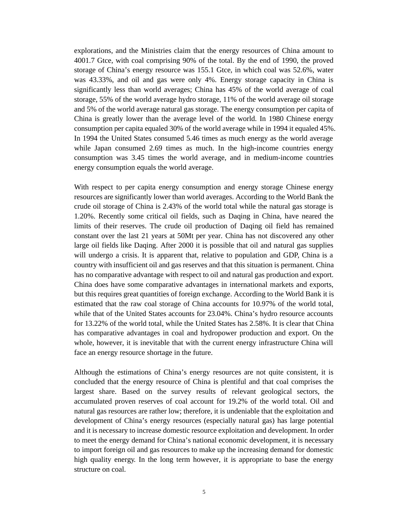explorations, and the Ministries claim that the energy resources of China amount to 4001.7 Gtce, with coal comprising 90% of the total. By the end of 1990, the proved storage of China's energy resource was 155.1 Gtce, in which coal was 52.6%, water was 43.33%, and oil and gas were only 4%. Energy storage capacity in China is significantly less than world averages; China has 45% of the world average of coal storage, 55% of the world average hydro storage, 11% of the world average oil storage and 5% of the world average natural gas storage. The energy consumption per capita of China is greatly lower than the average level of the world. In 1980 Chinese energy consumption per capita equaled 30% of the world average while in 1994 it equaled 45%. In 1994 the United States consumed 5.46 times as much energy as the world average while Japan consumed 2.69 times as much. In the high-income countries energy consumption was 3.45 times the world average, and in medium-income countries energy consumption equals the world average.

With respect to per capita energy consumption and energy storage Chinese energy resources are significantly lower than world averages. According to the World Bank the crude oil storage of China is 2.43% of the world total while the natural gas storage is 1.20%. Recently some critical oil fields, such as Daqing in China, have neared the limits of their reserves. The crude oil production of Daqing oil field has remained constant over the last 21 years at 50Mt per year. China has not discovered any other large oil fields like Daqing. After 2000 it is possible that oil and natural gas supplies will undergo a crisis. It is apparent that, relative to population and GDP, China is a country with insufficient oil and gas reserves and that this situation is permanent. China has no comparative advantage with respect to oil and natural gas production and export. China does have some comparative advantages in international markets and exports, but this requires great quantities of foreign exchange. According to the World Bank it is estimated that the raw coal storage of China accounts for 10.97% of the world total, while that of the United States accounts for 23.04%. China's hydro resource accounts for 13.22% of the world total, while the United States has 2.58%. It is clear that China has comparative advantages in coal and hydropower production and export. On the whole, however, it is inevitable that with the current energy infrastructure China will face an energy resource shortage in the future.

Although the estimations of China's energy resources are not quite consistent, it is concluded that the energy resource of China is plentiful and that coal comprises the largest share. Based on the survey results of relevant geological sectors, the accumulated proven reserves of coal account for 19.2% of the world total. Oil and natural gas resources are rather low; therefore, it is undeniable that the exploitation and development of China's energy resources (especially natural gas) has large potential and it is necessary to increase domestic resource exploitation and development. In order to meet the energy demand for China's national economic development, it is necessary to import foreign oil and gas resources to make up the increasing demand for domestic high quality energy. In the long term however, it is appropriate to base the energy structure on coal.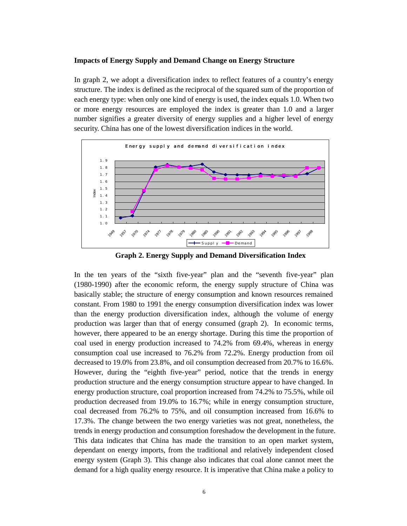#### **Impacts of Energy Supply and Demand Change on Energy Structure**

In graph 2, we adopt a diversification index to reflect features of a country's energy structure. The index is defined as the reciprocal of the squared sum of the proportion of each energy type: when only one kind of energy is used, the index equals 1.0. When two or more energy resources are employed the index is greater than 1.0 and a larger number signifies a greater diversity of energy supplies and a higher level of energy security. China has one of the lowest diversification indices in the world.



**Graph 2. Energy Supply and Demand Diversification Index**

In the ten years of the "sixth five-year" plan and the "seventh five-year" plan (1980-1990) after the economic reform, the energy supply structure of China was basically stable; the structure of energy consumption and known resources remained constant. From 1980 to 1991 the energy consumption diversification index was lower than the energy production diversification index, although the volume of energy production was larger than that of energy consumed (graph 2). In economic terms, however, there appeared to be an energy shortage. During this time the proportion of coal used in energy production increased to 74.2% from 69.4%, whereas in energy consumption coal use increased to 76.2% from 72.2%. Energy production from oil decreased to 19.0% from 23.8%, and oil consumption decreased from 20.7% to 16.6%. However, during the "eighth five-year" period, notice that the trends in energy production structure and the energy consumption structure appear to have changed. In energy production structure, coal proportion increased from 74.2% to 75.5%, while oil production decreased from 19.0% to 16.7%; while in energy consumption structure, coal decreased from 76.2% to 75%, and oil consumption increased from 16.6% to 17.3%. The change between the two energy varieties was not great, nonetheless, the trends in energy production and consumption foreshadow the development in the future. This data indicates that China has made the transition to an open market system, dependant on energy imports, from the traditional and relatively independent closed energy system (Graph 3). This change also indicates that coal alone cannot meet the demand for a high quality energy resource. It is imperative that China make a policy to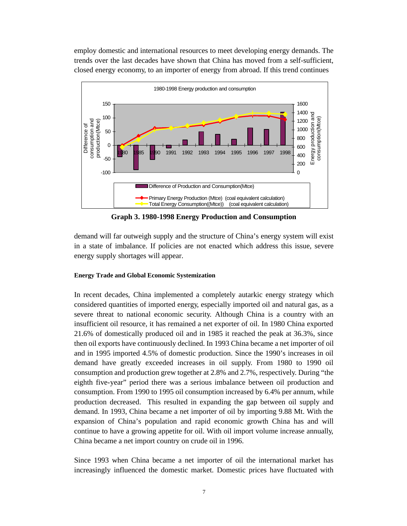employ domestic and international resources to meet developing energy demands. The trends over the last decades have shown that China has moved from a self-sufficient, closed energy economy, to an importer of energy from abroad. If this trend continues



**Graph 3. 1980-1998 Energy Production and Consumption**

demand will far outweigh supply and the structure of China's energy system will exist in a state of imbalance. If policies are not enacted which address this issue, severe energy supply shortages will appear.

# **Energy Trade and Global Economic Systemization**

In recent decades, China implemented a completely autarkic energy strategy which considered quantities of imported energy, especially imported oil and natural gas, as a severe threat to national economic security. Although China is a country with an insufficient oil resource, it has remained a net exporter of oil. In 1980 China exported 21.6% of domestically produced oil and in 1985 it reached the peak at 36.3%, since then oil exports have continuously declined. In 1993 China became a net importer of oil and in 1995 imported 4.5% of domestic production. Since the 1990's increases in oil demand have greatly exceeded increases in oil supply. From 1980 to 1990 oil consumption and production grew together at 2.8% and 2.7%, respectively. During "the eighth five-year" period there was a serious imbalance between oil production and consumption. From 1990 to 1995 oil consumption increased by 6.4% per annum, while production decreased. This resulted in expanding the gap between oil supply and demand. In 1993, China became a net importer of oil by importing 9.88 Mt. With the expansion of China's population and rapid economic growth China has and will continue to have a growing appetite for oil. With oil import volume increase annually, China became a net import country on crude oil in 1996.

Since 1993 when China became a net importer of oil the international market has increasingly influenced the domestic market. Domestic prices have fluctuated with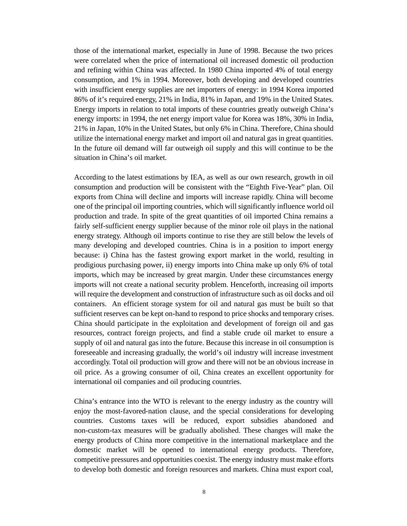those of the international market, especially in June of 1998. Because the two prices were correlated when the price of international oil increased domestic oil production and refining within China was affected. In 1980 China imported 4% of total energy consumption, and 1% in 1994. Moreover, both developing and developed countries with insufficient energy supplies are net importers of energy: in 1994 Korea imported 86% of it's required energy, 21% in India, 81% in Japan, and 19% in the United States. Energy imports in relation to total imports of these countries greatly outweigh China's energy imports: in 1994, the net energy import value for Korea was 18%, 30% in India, 21% in Japan, 10% in the United States, but only 6% in China. Therefore, China should utilize the international energy market and import oil and natural gas in great quantities. In the future oil demand will far outweigh oil supply and this will continue to be the situation in China's oil market.

According to the latest estimations by IEA, as well as our own research, growth in oil consumption and production will be consistent with the "Eighth Five-Year" plan. Oil exports from China will decline and imports will increase rapidly. China will become one of the principal oil importing countries, which will significantly influence world oil production and trade. In spite of the great quantities of oil imported China remains a fairly self-sufficient energy supplier because of the minor role oil plays in the national energy strategy. Although oil imports continue to rise they are still below the levels of many developing and developed countries. China is in a position to import energy because: i) China has the fastest growing export market in the world, resulting in prodigious purchasing power, ii) energy imports into China make up only 6% of total imports, which may be increased by great margin. Under these circumstances energy imports will not create a national security problem. Henceforth, increasing oil imports will require the development and construction of infrastructure such as oil docks and oil containers. An efficient storage system for oil and natural gas must be built so that sufficient reserves can be kept on-hand to respond to price shocks and temporary crises. China should participate in the exploitation and development of foreign oil and gas resources, contract foreign projects, and find a stable crude oil market to ensure a supply of oil and natural gas into the future. Because this increase in oil consumption is foreseeable and increasing gradually, the world's oil industry will increase investment accordingly. Total oil production will grow and there will not be an obvious increase in oil price. As a growing consumer of oil, China creates an excellent opportunity for international oil companies and oil producing countries.

China's entrance into the WTO is relevant to the energy industry as the country will enjoy the most-favored-nation clause, and the special considerations for developing countries. Customs taxes will be reduced, export subsidies abandoned and non-custom-tax measures will be gradually abolished. These changes will make the energy products of China more competitive in the international marketplace and the domestic market will be opened to international energy products. Therefore, competitive pressures and opportunities coexist. The energy industry must make efforts to develop both domestic and foreign resources and markets. China must export coal,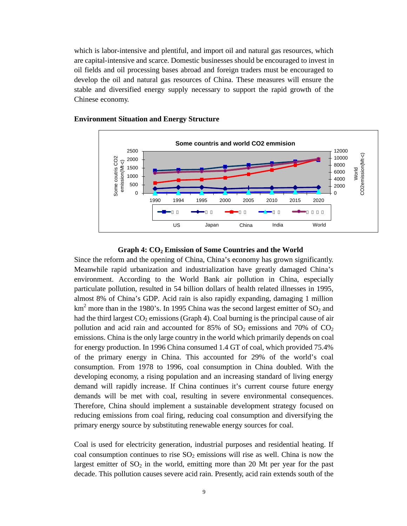which is labor-intensive and plentiful, and import oil and natural gas resources, which are capital-intensive and scarce. Domestic businesses should be encouraged to invest in oil fields and oil processing bases abroad and foreign traders must be encouraged to develop the oil and natural gas resources of China. These measures will ensure the stable and diversified energy supply necessary to support the rapid growth of the Chinese economy.



### **Environment Situation and Energy Structure**

### **Graph 4: CO2 Emission of Some Countries and the World**

Since the reform and the opening of China, China's economy has grown significantly. Meanwhile rapid urbanization and industrialization have greatly damaged China's environment. According to the World Bank air pollution in China, especially particulate pollution, resulted in 54 billion dollars of health related illnesses in 1995, almost 8% of China's GDP. Acid rain is also rapidly expanding, damaging 1 million km<sup>2</sup> more than in the 1980's. In 1995 China was the second largest emitter of  $SO_2$  and had the third largest  $CO_2$  emissions (Graph 4). Coal burning is the principal cause of air pollution and acid rain and accounted for 85% of  $SO_2$  emissions and 70% of  $CO_2$ emissions. China is the only large country in the world which primarily depends on coal for energy production. In 1996 China consumed 1.4 GT of coal, which provided 75.4% of the primary energy in China. This accounted for 29% of the world's coal consumption. From 1978 to 1996, coal consumption in China doubled. With the developing economy, a rising population and an increasing standard of living energy demand will rapidly increase. If China continues it's current course future energy demands will be met with coal, resulting in severe environmental consequences. Therefore, China should implement a sustainable development strategy focused on reducing emissions from coal firing, reducing coal consumption and diversifying the primary energy source by substituting renewable energy sources for coal.

Coal is used for electricity generation, industrial purposes and residential heating. If coal consumption continues to rise  $SO_2$  emissions will rise as well. China is now the largest emitter of  $SO_2$  in the world, emitting more than 20 Mt per year for the past decade. This pollution causes severe acid rain. Presently, acid rain extends south of the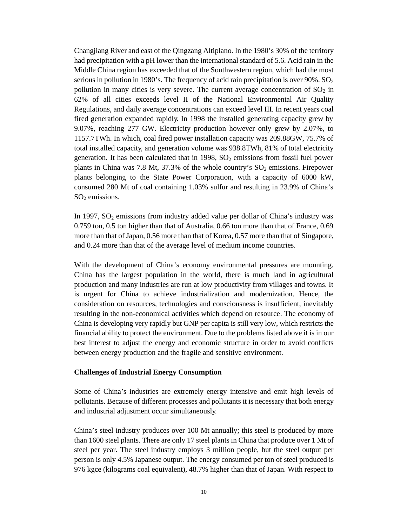Changjiang River and east of the Qingzang Altiplano. In the 1980's 30% of the territory had precipitation with a pH lower than the international standard of 5.6. Acid rain in the Middle China region has exceeded that of the Southwestern region, which had the most serious in pollution in 1980's. The frequency of acid rain precipitation is over  $90\%$ . SO<sub>2</sub> pollution in many cities is very severe. The current average concentration of  $SO<sub>2</sub>$  in 62% of all cities exceeds level II of the National Environmental Air Quality Regulations, and daily average concentrations can exceed level III. In recent years coal fired generation expanded rapidly. In 1998 the installed generating capacity grew by 9.07%, reaching 277 GW. Electricity production however only grew by 2.07%, to 1157.7TWh. In which, coal fired power installation capacity was 209.88GW, 75.7% of total installed capacity, and generation volume was 938.8TWh, 81% of total electricity generation. It has been calculated that in  $1998$ ,  $SO<sub>2</sub>$  emissions from fossil fuel power plants in China was 7.8 Mt, 37.3% of the whole country's  $SO_2$  emissions. Firepower plants belonging to the State Power Corporation, with a capacity of 6000 kW, consumed 280 Mt of coal containing 1.03% sulfur and resulting in 23.9% of China's SO<sub>2</sub> emissions.

In 1997,  $SO_2$  emissions from industry added value per dollar of China's industry was 0.759 ton, 0.5 ton higher than that of Australia, 0.66 ton more than that of France, 0.69 more than that of Japan, 0.56 more than that of Korea, 0.57 more than that of Singapore, and 0.24 more than that of the average level of medium income countries.

With the development of China's economy environmental pressures are mounting. China has the largest population in the world, there is much land in agricultural production and many industries are run at low productivity from villages and towns. It is urgent for China to achieve industrialization and modernization. Hence, the consideration on resources, technologies and consciousness is insufficient, inevitably resulting in the non-economical activities which depend on resource. The economy of China is developing very rapidly but GNP per capita is still very low, which restricts the financial ability to protect the environment. Due to the problems listed above it is in our best interest to adjust the energy and economic structure in order to avoid conflicts between energy production and the fragile and sensitive environment.

# **Challenges of Industrial Energy Consumption**

Some of China's industries are extremely energy intensive and emit high levels of pollutants. Because of different processes and pollutants it is necessary that both energy and industrial adjustment occur simultaneously.

China's steel industry produces over 100 Mt annually; this steel is produced by more than 1600 steel plants. There are only 17 steel plants in China that produce over 1 Mt of steel per year. The steel industry employs 3 million people, but the steel output per person is only 4.5% Japanese output. The energy consumed per ton of steel produced is 976 kgce (kilograms coal equivalent), 48.7% higher than that of Japan. With respect to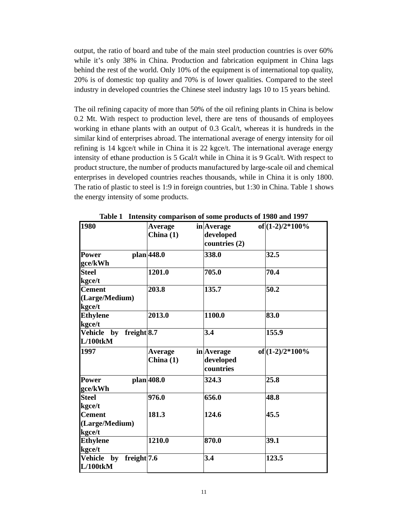output, the ratio of board and tube of the main steel production countries is over 60% while it's only 38% in China. Production and fabrication equipment in China lags behind the rest of the world. Only 10% of the equipment is of international top quality, 20% is of domestic top quality and 70% is of lower qualities. Compared to the steel industry in developed countries the Chinese steel industry lags 10 to 15 years behind.

The oil refining capacity of more than 50% of the oil refining plants in China is below 0.2 Mt. With respect to production level, there are tens of thousands of employees working in ethane plants with an output of 0.3 Gcal/t, whereas it is hundreds in the similar kind of enterprises abroad. The international average of energy intensity for oil refining is 14 kgce/t while in China it is 22 kgce/t. The international average energy intensity of ethane production is 5 Gcal/t while in China it is 9 Gcal/t. With respect to product structure, the number of products manufactured by large-scale oil and chemical enterprises in developed countries reaches thousands, while in China it is only 1800. The ratio of plastic to steel is 1:9 in foreign countries, but 1:30 in China. Table 1 shows the energy intensity of some products.

| <b>1980</b>                               | <b>Average</b><br>China $(1)$ | in Average<br>developed<br>countries (2) | of $(1-2)/2*100%$  |
|-------------------------------------------|-------------------------------|------------------------------------------|--------------------|
| <b>Power</b><br>gce/kWh                   | plan 448.0                    | 338.0                                    | 32.5               |
| <b>Steel</b><br>kgce/t                    | 1201.0                        | 705.0                                    | 70.4               |
| <b>Cement</b><br>(Large/Medium)<br>kgce/t | 203.8                         | 135.7                                    | 50.2               |
| <b>Ethylene</b><br>kgce/t                 | 2013.0                        | 1100.0                                   | 83.0               |
| Vehicle by freight 8.7<br>$L/100$ tk $M$  |                               | 3.4                                      | 155.9              |
| 1997                                      | <b>Average</b><br>China $(1)$ | in Average<br>developed<br>countries     | of $(1-2)/2*100\%$ |
| <b>Power</b><br>gce/kWh                   | plan 408.0                    | 324.3                                    | 25.8               |
| <b>Steel</b><br>kgce/t                    | 976.0                         | 656.0                                    | 48.8               |
| <b>Cement</b><br>(Large/Medium)<br>kgce/t | 181.3                         | 124.6                                    | 45.5               |
| <b>Ethylene</b><br>kgce/t                 | 1210.0                        | 870.0                                    | 39.1               |
| Vehicle by freight 7.6<br>$L/100$ tk $M$  |                               | 3.4                                      | 123.5              |

**Table 1 Intensity comparison of some products of 1980 and 1997**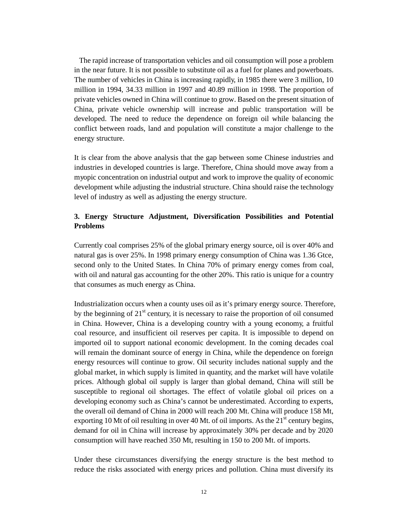The rapid increase of transportation vehicles and oil consumption will pose a problem in the near future. It is not possible to substitute oil as a fuel for planes and powerboats. The number of vehicles in China is increasing rapidly, in 1985 there were 3 million, 10 million in 1994, 34.33 million in 1997 and 40.89 million in 1998. The proportion of private vehicles owned in China will continue to grow. Based on the present situation of China, private vehicle ownership will increase and public transportation will be developed. The need to reduce the dependence on foreign oil while balancing the conflict between roads, land and population will constitute a major challenge to the energy structure.

It is clear from the above analysis that the gap between some Chinese industries and industries in developed countries is large. Therefore, China should move away from a myopic concentration on industrial output and work to improve the quality of economic development while adjusting the industrial structure. China should raise the technology level of industry as well as adjusting the energy structure.

# **3. Energy Structure Adjustment, Diversification Possibilities and Potential Problems**

Currently coal comprises 25% of the global primary energy source, oil is over 40% and natural gas is over 25%. In 1998 primary energy consumption of China was 1.36 Gtce, second only to the United States. In China 70% of primary energy comes from coal, with oil and natural gas accounting for the other 20%. This ratio is unique for a country that consumes as much energy as China.

Industrialization occurs when a county uses oil as it's primary energy source. Therefore, by the beginning of  $21<sup>st</sup>$  century, it is necessary to raise the proportion of oil consumed in China. However, China is a developing country with a young economy, a fruitful coal resource, and insufficient oil reserves per capita. It is impossible to depend on imported oil to support national economic development. In the coming decades coal will remain the dominant source of energy in China, while the dependence on foreign energy resources will continue to grow. Oil security includes national supply and the global market, in which supply is limited in quantity, and the market will have volatile prices. Although global oil supply is larger than global demand, China will still be susceptible to regional oil shortages. The effect of volatile global oil prices on a developing economy such as China's cannot be underestimated. According to experts, the overall oil demand of China in 2000 will reach 200 Mt. China will produce 158 Mt, exporting 10 Mt of oil resulting in over 40 Mt. of oil imports. As the  $21<sup>st</sup>$  century begins, demand for oil in China will increase by approximately 30% per decade and by 2020 consumption will have reached 350 Mt, resulting in 150 to 200 Mt. of imports.

Under these circumstances diversifying the energy structure is the best method to reduce the risks associated with energy prices and pollution. China must diversify its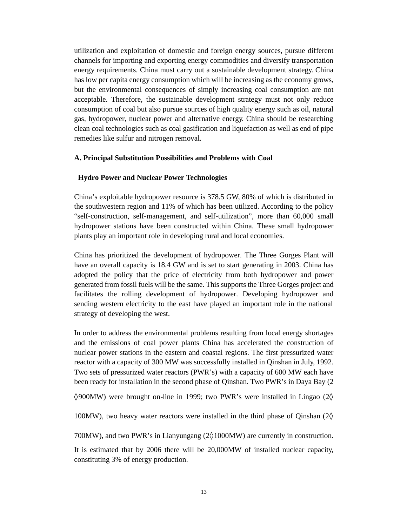utilization and exploitation of domestic and foreign energy sources, pursue different channels for importing and exporting energy commodities and diversify transportation energy requirements. China must carry out a sustainable development strategy. China has low per capita energy consumption which will be increasing as the economy grows, but the environmental consequences of simply increasing coal consumption are not acceptable. Therefore, the sustainable development strategy must not only reduce consumption of coal but also pursue sources of high quality energy such as oil, natural gas, hydropower, nuclear power and alternative energy. China should be researching clean coal technologies such as coal gasification and liquefaction as well as end of pipe remedies like sulfur and nitrogen removal.

### **A. Principal Substitution Possibilities and Problems with Coal**

### **Hydro Power and Nuclear Power Technologies**

China's exploitable hydropower resource is 378.5 GW, 80% of which is distributed in the southwestern region and 11% of which has been utilized. According to the policy "self-construction, self-management, and self-utilization", more than 60,000 small hydropower stations have been constructed within China. These small hydropower plants play an important role in developing rural and local economies.

China has prioritized the development of hydropower. The Three Gorges Plant will have an overall capacity is 18.4 GW and is set to start generating in 2003. China has adopted the policy that the price of electricity from both hydropower and power generated from fossil fuels will be the same. This supports the Three Gorges project and facilitates the rolling development of hydropower. Developing hydropower and sending western electricity to the east have played an important role in the national strategy of developing the west.

In order to address the environmental problems resulting from local energy shortages and the emissions of coal power plants China has accelerated the construction of nuclear power stations in the eastern and coastal regions. The first pressurized water reactor with a capacity of 300 MW was successfully installed in Qinshan in July, 1992. Two sets of pressurized water reactors (PWR's) with a capacity of 600 MW each have been ready for installation in the second phase of Qinshan. Two PWR's in Daya Bay (2

×900MW) were brought on-line in 1999; two PWR's were installed in Lingao (2×

100MW), two heavy water reactors were installed in the third phase of Qinshan (2×

700MW), and two PWR's in Lianyungang (2×1000MW) are currently in construction.

It is estimated that by 2006 there will be 20,000MW of installed nuclear capacity, constituting 3% of energy production.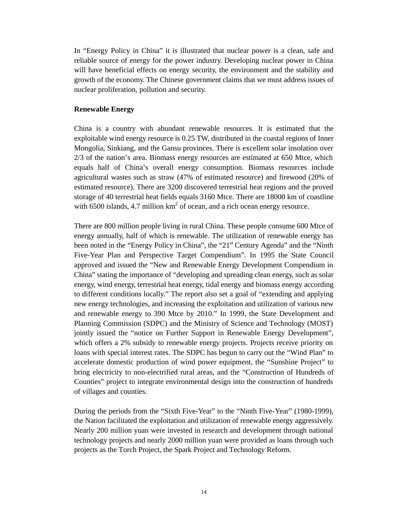In "Energy Policy in China" it is illustrated that nuclear power is a clean, safe and reliable source of energy for the power industry. Developing nuclear power in China will have beneficial effects on energy security, the environment and the stability and growth of the economy. The Chinese government claims that we must address issues of nuclear proliferation, pollution and security.

# **Renewable Energy**

China is a country with abundant renewable resources. It is estimated that the exploitable wind energy resource is 0.25 TW, distributed in the coastal regions of Inner Mongolia, Sinkiang, and the Gansu provinces. There is excellent solar insolation over 2/3 of the nation's area. Biomass energy resources are estimated at 650 Mtce, which equals half of China's overall energy consumption. Biomass resources include agricultural wastes such as straw (47% of estimated resource) and firewood (20% of estimated resource). There are 3200 discovered terrestrial heat regions and the proved storage of 40 terrestrial heat fields equals 3160 Mtce. There are 18000 km of coastline with 6500 islands, 4.7 million  $km^2$  of ocean, and a rich ocean energy resource.

There are 800 million people living in rural China. These people consume 600 Mtce of energy annually, half of which is renewable. The utilization of renewable energy has been noted in the "Energy Policy in China", the "21<sup>st</sup> Century Agenda" and the "Ninth Five-Year Plan and Perspective Target Compendium". In 1995 the State Council approved and issued the "New and Renewable Energy Development Compendium in China" stating the importance of "developing and spreading clean energy, such as solar energy, wind energy, terrestrial heat energy, tidal energy and biomass energy according to different conditions locally." The report also set a goal of "extending and applying new energy technologies, and increasing the exploitation and utilization of various new and renewable energy to 390 Mtce by 2010." In 1999, the State Development and Planning Commission (SDPC) and the Ministry of Science and Technology (MOST) jointly issued the "notice on Further Support in Renewable Energy Development", which offers a 2% subsidy to renewable energy projects. Projects receive priority on loans with special interest rates. The SDPC has begun to carry out the "Wind Plan" to accelerate domestic production of wind power equipment, the "Sunshine Project" to bring electricity to non-electrified rural areas, and the "Construction of Hundreds of Counties" project to integrate environmental design into the construction of hundreds of villages and counties.

During the periods from the "Sixth Five-Year" to the "Ninth Five-Year" (1980-1999), the Nation facilitated the exploitation and utilization of renewable energy aggressively. Nearly 200 million yuan were invested in research and development through national technology projects and nearly 2000 million yuan were provided as loans through such projects as the Torch Project, the Spark Project and Technology Reform.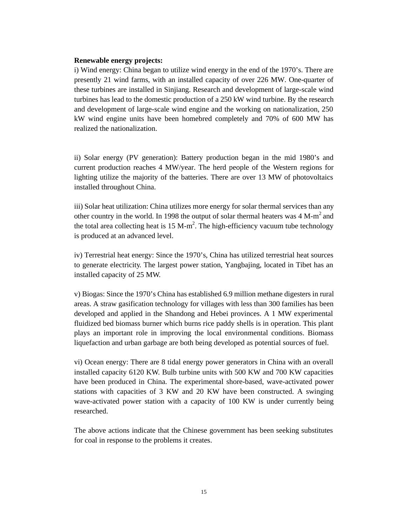#### **Renewable energy projects:**

i) Wind energy: China began to utilize wind energy in the end of the 1970's. There are presently 21 wind farms, with an installed capacity of over 226 MW. One-quarter of these turbines are installed in Sinjiang. Research and development of large-scale wind turbines has lead to the domestic production of a 250 kW wind turbine. By the research and development of large-scale wind engine and the working on nationalization, 250 kW wind engine units have been homebred completely and 70% of 600 MW has realized the nationalization.

ii) Solar energy (PV generation): Battery production began in the mid 1980's and current production reaches 4 MW/year. The herd people of the Western regions for lighting utilize the majority of the batteries. There are over 13 MW of photovoltaics installed throughout China.

iii) Solar heat utilization: China utilizes more energy for solar thermal services than any other country in the world. In 1998 the output of solar thermal heaters was  $4 \text{ M-m}^2$  and the total area collecting heat is  $15 \text{ M-m}^2$ . The high-efficiency vacuum tube technology is produced at an advanced level.

iv) Terrestrial heat energy: Since the 1970's, China has utilized terrestrial heat sources to generate electricity. The largest power station, Yangbajing, located in Tibet has an installed capacity of 25 MW.

v) Biogas: Since the 1970's China has established 6.9 million methane digesters in rural areas. A straw gasification technology for villages with less than 300 families has been developed and applied in the Shandong and Hebei provinces. A 1 MW experimental fluidized bed biomass burner which burns rice paddy shells is in operation. This plant plays an important role in improving the local environmental conditions. Biomass liquefaction and urban garbage are both being developed as potential sources of fuel.

vi) Ocean energy: There are 8 tidal energy power generators in China with an overall installed capacity 6120 KW. Bulb turbine units with 500 KW and 700 KW capacities have been produced in China. The experimental shore-based, wave-activated power stations with capacities of 3 KW and 20 KW have been constructed. A swinging wave-activated power station with a capacity of 100 KW is under currently being researched.

The above actions indicate that the Chinese government has been seeking substitutes for coal in response to the problems it creates.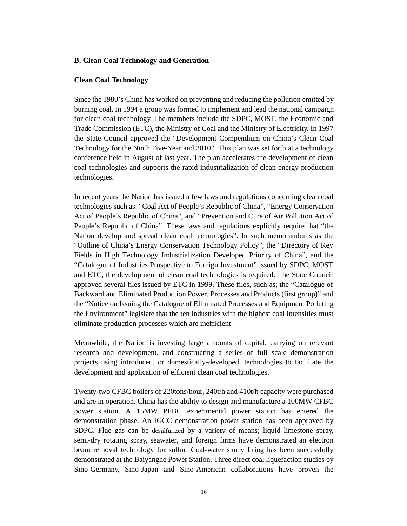### **B. Clean Coal Technology and Generation**

### **Clean Coal Technology**

Since the 1980's China has worked on preventing and reducing the pollution emitted by burning coal. In 1994 a group was formed to implement and lead the national campaign for clean coal technology. The members include the SDPC, MOST, the Economic and Trade Commission (ETC), the Ministry of Coal and the Ministry of Electricity. In 1997 the State Council approved the "Development Compendium on China's Clean Coal Technology for the Ninth Five-Year and 2010". This plan was set forth at a technology conference held in August of last year. The plan accelerates the development of clean coal technologies and supports the rapid industrialization of clean energy production technologies.

In recent years the Nation has issued a few laws and regulations concerning clean coal technologies such as: "Coal Act of People's Republic of China", "Energy Conservation Act of People's Republic of China", and "Prevention and Cure of Air Pollution Act of People's Republic of China". These laws and regulations explicitly require that "the Nation develop and spread clean coal technologies". In such memorandums as the "Outline of China's Energy Conservation Technology Policy", the "Directory of Key Fields in High Technology Industrialization Developed Priority of China", and the "Catalogue of Industries Prospective to Foreign Investment" issued by SDPC, MOST and ETC, the development of clean coal technologies is required. The State Council approved several files issued by ETC in 1999. These files, such as; the "Catalogue of Backward and Eliminated Production Power, Processes and Products (first group)" and the "Notice on Issuing the Catalogue of Eliminated Processes and Equipment Polluting the Environment" legislate that the ten industries with the highest coal intensities must eliminate production processes which are inefficient.

Meanwhile, the Nation is investing large amounts of capital, carrying on relevant research and development, and constructing a series of full scale demonstration projects using introduced, or domestically-developed, technologies to facilitate the development and application of efficient clean coal technologies.

Twenty-two CFBC boilers of 220tons/hour, 240t/h and 410t/h capacity were purchased and are in operation. China has the ability to design and manufacture a 100MW CFBC power station. A 15MW PFBC experimental power station has entered the demonstration phase. An IGCC demonstration power station has been approved by SDPC. Flue gas can be desulfurized by a variety of means; liquid limestone spray, semi-dry rotating spray, seawater, and foreign firms have demonstrated an electron beam removal technology for sulfur. Coal-water slurry firing has been successfully demonstrated at the Baiyanghe Power Station. Three direct coal liquefaction studies by Sino-Germany, Sino-Japan and Sino-American collaborations have proven the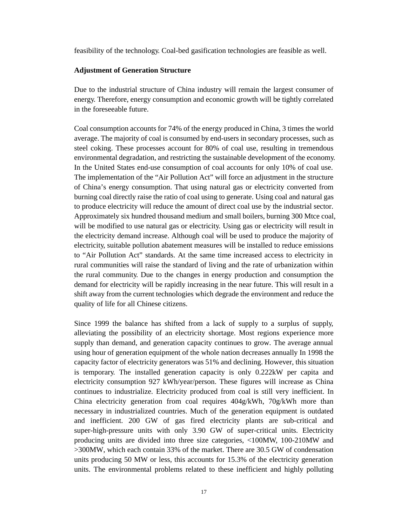feasibility of the technology. Coal-bed gasification technologies are feasible as well.

#### **Adjustment of Generation Structure**

Due to the industrial structure of China industry will remain the largest consumer of energy. Therefore, energy consumption and economic growth will be tightly correlated in the foreseeable future.

Coal consumption accounts for 74% of the energy produced in China, 3 times the world average. The majority of coal is consumed by end-users in secondary processes, such as steel coking. These processes account for 80% of coal use, resulting in tremendous environmental degradation, and restricting the sustainable development of the economy. In the United States end-use consumption of coal accounts for only 10% of coal use. The implementation of the "Air Pollution Act" will force an adjustment in the structure of China's energy consumption. That using natural gas or electricity converted from burning coal directly raise the ratio of coal using to generate. Using coal and natural gas to produce electricity will reduce the amount of direct coal use by the industrial sector. Approximately six hundred thousand medium and small boilers, burning 300 Mtce coal, will be modified to use natural gas or electricity. Using gas or electricity will result in the electricity demand increase. Although coal will be used to produce the majority of electricity, suitable pollution abatement measures will be installed to reduce emissions to "Air Pollution Act" standards. At the same time increased access to electricity in rural communities will raise the standard of living and the rate of urbanization within the rural community. Due to the changes in energy production and consumption the demand for electricity will be rapidly increasing in the near future. This will result in a shift away from the current technologies which degrade the environment and reduce the quality of life for all Chinese citizens.

Since 1999 the balance has shifted from a lack of supply to a surplus of supply, alleviating the possibility of an electricity shortage. Most regions experience more supply than demand, and generation capacity continues to grow. The average annual using hour of generation equipment of the whole nation decreases annually In 1998 the capacity factor of electricity generators was 51% and declining. However, this situation is temporary. The installed generation capacity is only 0.222kW per capita and electricity consumption 927 kWh/year/person. These figures will increase as China continues to industrialize. Electricity produced from coal is still very inefficient. In China electricity generation from coal requires  $404g/\text{kWh}$ ,  $70g/\text{kWh}$  more than necessary in industrialized countries. Much of the generation equipment is outdated and inefficient. 200 GW of gas fired electricity plants are sub-critical and super-high-pressure units with only 3.90 GW of super-critical units. Electricity producing units are divided into three size categories, <100MW, 100-210MW and >300MW, which each contain 33% of the market. There are 30.5 GW of condensation units producing 50 MW or less, this accounts for 15.3% of the electricity generation units. The environmental problems related to these inefficient and highly polluting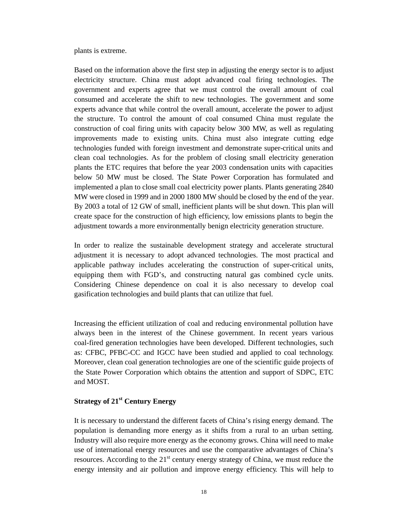plants is extreme.

Based on the information above the first step in adjusting the energy sector is to adjust electricity structure. China must adopt advanced coal firing technologies. The government and experts agree that we must control the overall amount of coal consumed and accelerate the shift to new technologies. The government and some experts advance that while control the overall amount, accelerate the power to adjust the structure. To control the amount of coal consumed China must regulate the construction of coal firing units with capacity below 300 MW, as well as regulating improvements made to existing units. China must also integrate cutting edge technologies funded with foreign investment and demonstrate super-critical units and clean coal technologies. As for the problem of closing small electricity generation plants the ETC requires that before the year 2003 condensation units with capacities below 50 MW must be closed. The State Power Corporation has formulated and implemented a plan to close small coal electricity power plants. Plants generating 2840 MW were closed in 1999 and in 2000 1800 MW should be closed by the end of the year. By 2003 a total of 12 GW of small, inefficient plants will be shut down. This plan will create space for the construction of high efficiency, low emissions plants to begin the adjustment towards a more environmentally benign electricity generation structure.

In order to realize the sustainable development strategy and accelerate structural adjustment it is necessary to adopt advanced technologies. The most practical and applicable pathway includes accelerating the construction of super-critical units, equipping them with FGD's, and constructing natural gas combined cycle units. Considering Chinese dependence on coal it is also necessary to develop coal gasification technologies and build plants that can utilize that fuel.

Increasing the efficient utilization of coal and reducing environmental pollution have always been in the interest of the Chinese government. In recent years various coal-fired generation technologies have been developed. Different technologies, such as: CFBC, PFBC-CC and IGCC have been studied and applied to coal technology. Moreover, clean coal generation technologies are one of the scientific guide projects of the State Power Corporation which obtains the attention and support of SDPC, ETC and MOST.

# **Strategy of 21st Century Energy**

It is necessary to understand the different facets of China's rising energy demand. The population is demanding more energy as it shifts from a rural to an urban setting. Industry will also require more energy as the economy grows. China will need to make use of international energy resources and use the comparative advantages of China's resources. According to the 21<sup>st</sup> century energy strategy of China, we must reduce the energy intensity and air pollution and improve energy efficiency. This will help to